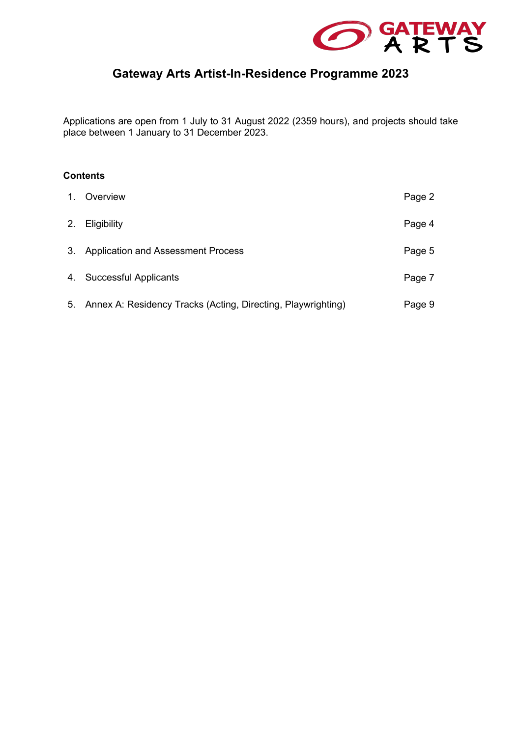

# **Gateway Arts Artist-In-Residence Programme 2023**

Applications are open from 1 July to 31 August 2022 (2359 hours), and projects should take place between 1 January to 31 December 2023.

## **Contents**

| $1_{-}$ | Overview                                                        | Page 2 |
|---------|-----------------------------------------------------------------|--------|
| 2.      | Eligibility                                                     | Page 4 |
|         | 3. Application and Assessment Process                           | Page 5 |
|         | 4. Successful Applicants                                        | Page 7 |
|         | 5. Annex A: Residency Tracks (Acting, Directing, Playwrighting) | Page 9 |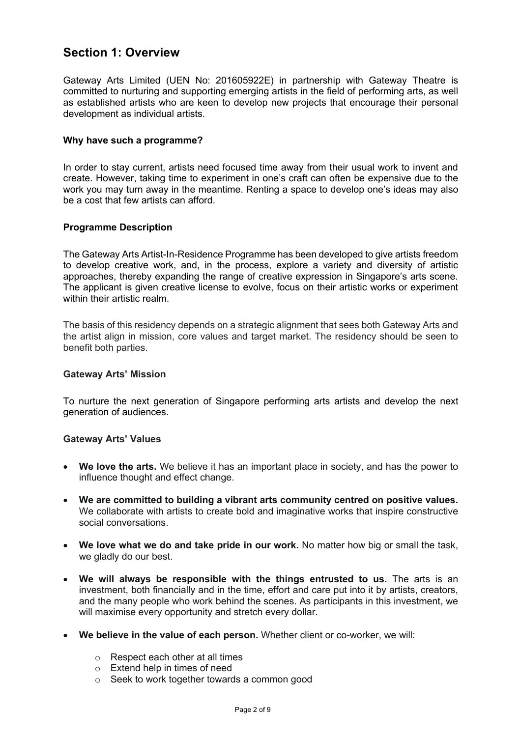## **Section 1: Overview**

Gateway Arts Limited (UEN No: 201605922E) in partnership with Gateway Theatre is committed to nurturing and supporting emerging artists in the field of performing arts, as well as established artists who are keen to develop new projects that encourage their personal development as individual artists.

## **Why have such a programme?**

In order to stay current, artists need focused time away from their usual work to invent and create. However, taking time to experiment in one's craft can often be expensive due to the work you may turn away in the meantime. Renting a space to develop one's ideas may also be a cost that few artists can afford.

## **Programme Description**

The Gateway Arts Artist-In-Residence Programme has been developed to give artists freedom to develop creative work, and, in the process, explore a variety and diversity of artistic approaches, thereby expanding the range of creative expression in Singapore's arts scene. The applicant is given creative license to evolve, focus on their artistic works or experiment within their artistic realm.

The basis of this residency depends on a strategic alignment that sees both Gateway Arts and the artist align in mission, core values and target market. The residency should be seen to benefit both parties.

### **Gateway Arts' Mission**

To nurture the next generation of Singapore performing arts artists and develop the next generation of audiences.

### **Gateway Arts' Values**

- **We love the arts.** We believe it has an important place in society, and has the power to influence thought and effect change.
- **We are committed to building a vibrant arts community centred on positive values.**  We collaborate with artists to create bold and imaginative works that inspire constructive social conversations.
- **We love what we do and take pride in our work.** No matter how big or small the task, we gladly do our best.
- **We will always be responsible with the things entrusted to us.** The arts is an investment, both financially and in the time, effort and care put into it by artists, creators, and the many people who work behind the scenes. As participants in this investment, we will maximise every opportunity and stretch every dollar.
- **We believe in the value of each person.** Whether client or co-worker, we will:
	- o Respect each other at all times
	- o Extend help in times of need
	- o Seek to work together towards a common good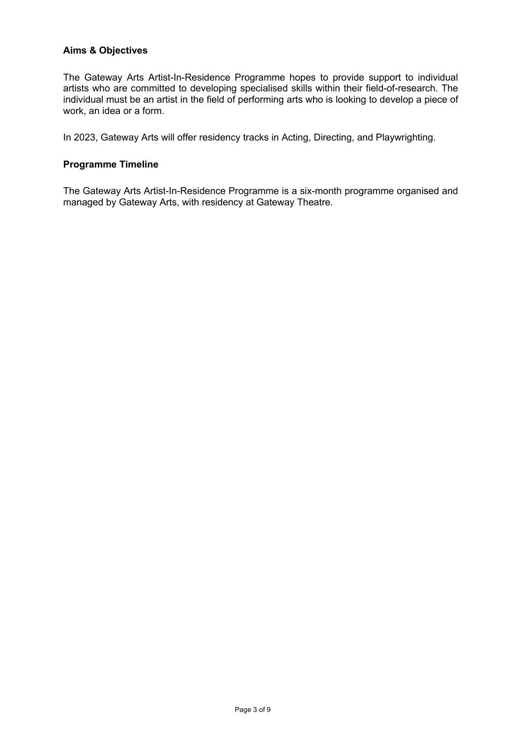### **Aims & Objectives**

The Gateway Arts Artist-In-Residence Programme hopes to provide support to individual artists who are committed to developing specialised skills within their field-of-research. The individual must be an artist in the field of performing arts who is looking to develop a piece of work, an idea or a form.

In 2023, Gateway Arts will offer residency tracks in Acting, Directing, and Playwrighting.

### **Programme Timeline**

The Gateway Arts Artist-In-Residence Programme is a six-month programme organised and managed by Gateway Arts, with residency at Gateway Theatre.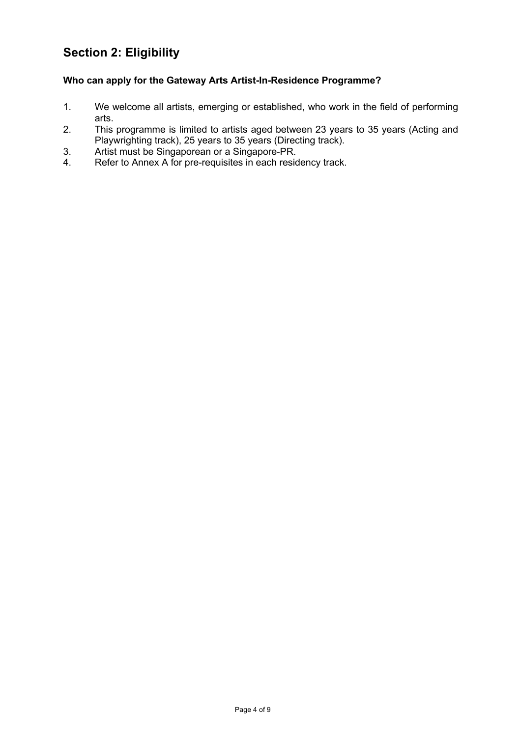# **Section 2: Eligibility**

## **Who can apply for the Gateway Arts Artist-In-Residence Programme?**

- 1. We welcome all artists, emerging or established, who work in the field of performing arts.
- 2. This programme is limited to artists aged between 23 years to 35 years (Acting and Playwrighting track), 25 years to 35 years (Directing track).
- 3. Artist must be Singaporean or a Singapore-PR.
- 4. Refer to Annex A for pre-requisites in each residency track.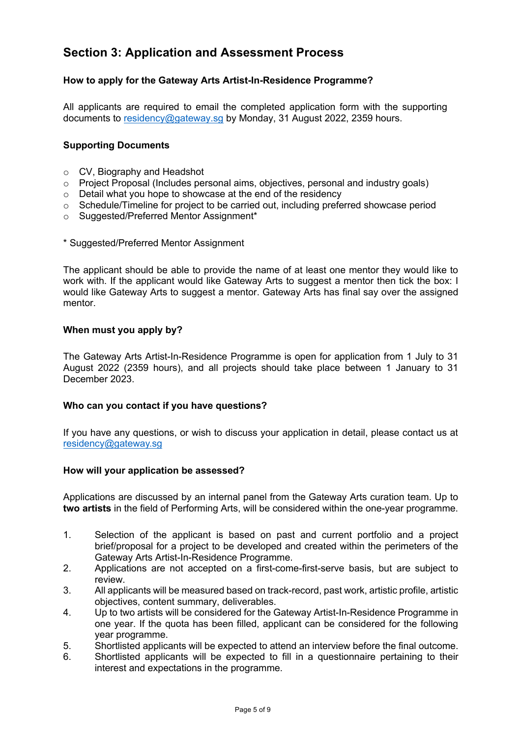## **Section 3: Application and Assessment Process**

## **How to apply for the Gateway Arts Artist-In-Residence Programme?**

All applicants are required to email the completed application form with the supporting documents to residency@gateway.sg by Monday, 31 August 2022, 2359 hours.

## **Supporting Documents**

- o CV, Biography and Headshot
- o Project Proposal (Includes personal aims, objectives, personal and industry goals)
- o Detail what you hope to showcase at the end of the residency
- o Schedule/Timeline for project to be carried out, including preferred showcase period
- o Suggested/Preferred Mentor Assignment\*
- \* Suggested/Preferred Mentor Assignment

The applicant should be able to provide the name of at least one mentor they would like to work with. If the applicant would like Gateway Arts to suggest a mentor then tick the box: I would like Gateway Arts to suggest a mentor. Gateway Arts has final say over the assigned mentor.

### **When must you apply by?**

The Gateway Arts Artist-In-Residence Programme is open for application from 1 July to 31 August 2022 (2359 hours), and all projects should take place between 1 January to 31 December 2023.

### **Who can you contact if you have questions?**

If you have any questions, or wish to discuss your application in detail, please contact us at residency@gateway.sg

### **How will your application be assessed?**

Applications are discussed by an internal panel from the Gateway Arts curation team. Up to **two artists** in the field of Performing Arts, will be considered within the one-year programme.

- 1. Selection of the applicant is based on past and current portfolio and a project brief/proposal for a project to be developed and created within the perimeters of the Gateway Arts Artist-In-Residence Programme.
- 2. Applications are not accepted on a first-come-first-serve basis, but are subject to review.
- 3. All applicants will be measured based on track-record, past work, artistic profile, artistic objectives, content summary, deliverables.
- 4. Up to two artists will be considered for the Gateway Artist-In-Residence Programme in one year. If the quota has been filled, applicant can be considered for the following year programme.
- 5. Shortlisted applicants will be expected to attend an interview before the final outcome.
- 6. Shortlisted applicants will be expected to fill in a questionnaire pertaining to their interest and expectations in the programme.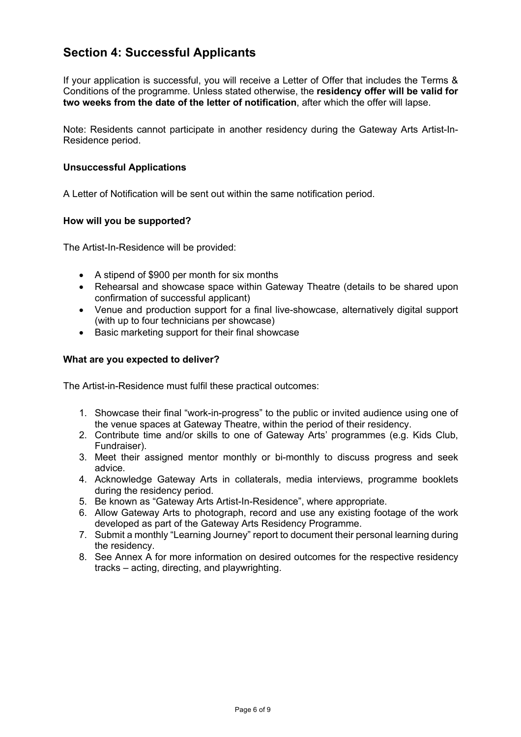## **Section 4: Successful Applicants**

If your application is successful, you will receive a Letter of Offer that includes the Terms & Conditions of the programme. Unless stated otherwise, the **residency offer will be valid for two weeks from the date of the letter of notification**, after which the offer will lapse.

Note: Residents cannot participate in another residency during the Gateway Arts Artist-In-Residence period.

### **Unsuccessful Applications**

A Letter of Notification will be sent out within the same notification period.

### **How will you be supported?**

The Artist-In-Residence will be provided:

- A stipend of \$900 per month for six months
- Rehearsal and showcase space within Gateway Theatre (details to be shared upon confirmation of successful applicant)
- Venue and production support for a final live-showcase, alternatively digital support (with up to four technicians per showcase)
- Basic marketing support for their final showcase

### **What are you expected to deliver?**

The Artist-in-Residence must fulfil these practical outcomes:

- 1. Showcase their final "work-in-progress" to the public or invited audience using one of the venue spaces at Gateway Theatre, within the period of their residency.
- 2. Contribute time and/or skills to one of Gateway Arts' programmes (e.g. Kids Club, Fundraiser).
- 3. Meet their assigned mentor monthly or bi-monthly to discuss progress and seek advice.
- 4. Acknowledge Gateway Arts in collaterals, media interviews, programme booklets during the residency period.
- 5. Be known as "Gateway Arts Artist-In-Residence", where appropriate.
- 6. Allow Gateway Arts to photograph, record and use any existing footage of the work developed as part of the Gateway Arts Residency Programme.
- 7. Submit a monthly "Learning Journey" report to document their personal learning during the residency.
- 8. See Annex A for more information on desired outcomes for the respective residency tracks – acting, directing, and playwrighting.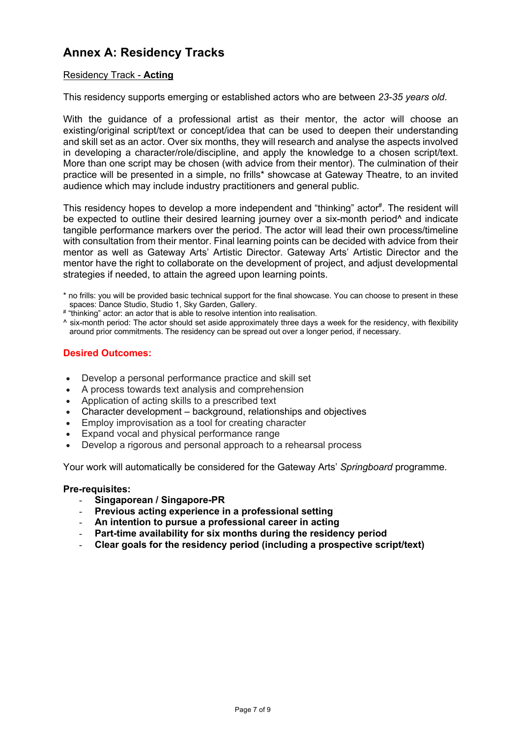## **Annex A: Residency Tracks**

## Residency Track - **Acting**

This residency supports emerging or established actors who are between *23-35 years old*.

With the guidance of a professional artist as their mentor, the actor will choose an existing/original script/text or concept/idea that can be used to deepen their understanding and skill set as an actor. Over six months, they will research and analyse the aspects involved in developing a character/role/discipline, and apply the knowledge to a chosen script/text. More than one script may be chosen (with advice from their mentor). The culmination of their practice will be presented in a simple, no frills\* showcase at Gateway Theatre, to an invited audience which may include industry practitioners and general public.

This residency hopes to develop a more independent and "thinking" actor<sup>#</sup>. The resident will be expected to outline their desired learning journey over a six-month period<sup>^</sup> and indicate tangible performance markers over the period. The actor will lead their own process/timeline with consultation from their mentor. Final learning points can be decided with advice from their mentor as well as Gateway Arts' Artistic Director. Gateway Arts' Artistic Director and the mentor have the right to collaborate on the development of project, and adjust developmental strategies if needed, to attain the agreed upon learning points.

- \* no frills: you will be provided basic technical support for the final showcase. You can choose to present in these spaces: Dance Studio, Studio 1, Sky Garden, Gallery.
- # "thinking" actor: an actor that is able to resolve intention into realisation.
- ^ six-month period: The actor should set aside approximately three days a week for the residency, with flexibility around prior commitments. The residency can be spread out over a longer period, if necessary.

### **Desired Outcomes:**

- Develop a personal performance practice and skill set
- A process towards text analysis and comprehension
- Application of acting skills to a prescribed text
- Character development background, relationships and objectives
- Employ improvisation as a tool for creating character
- Expand vocal and physical performance range
- Develop a rigorous and personal approach to a rehearsal process

Your work will automatically be considered for the Gateway Arts' *Springboard* programme.

#### **Pre-requisites:**

- **Singaporean / Singapore-PR**
- **Previous acting experience in a professional setting**
- **An intention to pursue a professional career in acting**
- **Part-time availability for six months during the residency period**
- **Clear goals for the residency period (including a prospective script/text)**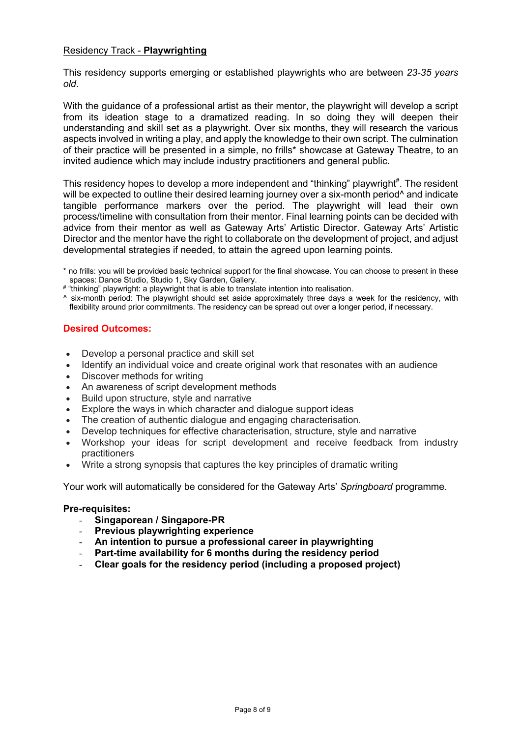### Residency Track - **Playwrighting**

This residency supports emerging or established playwrights who are between *23-35 years old*.

With the guidance of a professional artist as their mentor, the playwright will develop a script from its ideation stage to a dramatized reading. In so doing they will deepen their understanding and skill set as a playwright. Over six months, they will research the various aspects involved in writing a play, and apply the knowledge to their own script. The culmination of their practice will be presented in a simple, no frills\* showcase at Gateway Theatre, to an invited audience which may include industry practitioners and general public.

This residency hopes to develop a more independent and "thinking" playwright<sup>#</sup>. The resident will be expected to outline their desired learning journey over a six-month period<sup>^</sup> and indicate tangible performance markers over the period. The playwright will lead their own process/timeline with consultation from their mentor. Final learning points can be decided with advice from their mentor as well as Gateway Arts' Artistic Director. Gateway Arts' Artistic Director and the mentor have the right to collaborate on the development of project, and adjust developmental strategies if needed, to attain the agreed upon learning points.

# "thinking" playwright: a playwright that is able to translate intention into realisation.

^ six-month period: The playwright should set aside approximately three days a week for the residency, with flexibility around prior commitments. The residency can be spread out over a longer period, if necessary.

## **Desired Outcomes:**

- Develop a personal practice and skill set
- Identify an individual voice and create original work that resonates with an audience
- Discover methods for writing
- An awareness of script development methods
- Build upon structure, style and narrative
- Explore the ways in which character and dialogue support ideas
- The creation of authentic dialogue and engaging characterisation.
- Develop techniques for effective characterisation, structure, style and narrative
- Workshop your ideas for script development and receive feedback from industry practitioners
- Write a strong synopsis that captures the key principles of dramatic writing

Your work will automatically be considered for the Gateway Arts' *Springboard* programme.

### **Pre-requisites:**

- **Singaporean / Singapore-PR**
- **Previous playwrighting experience**
- **An intention to pursue a professional career in playwrighting**
- Part-time availability for 6 months during the residency period
- **Clear goals for the residency period (including a proposed project)**

<sup>\*</sup> no frills: you will be provided basic technical support for the final showcase. You can choose to present in these spaces: Dance Studio, Studio 1, Sky Garden, Gallery.